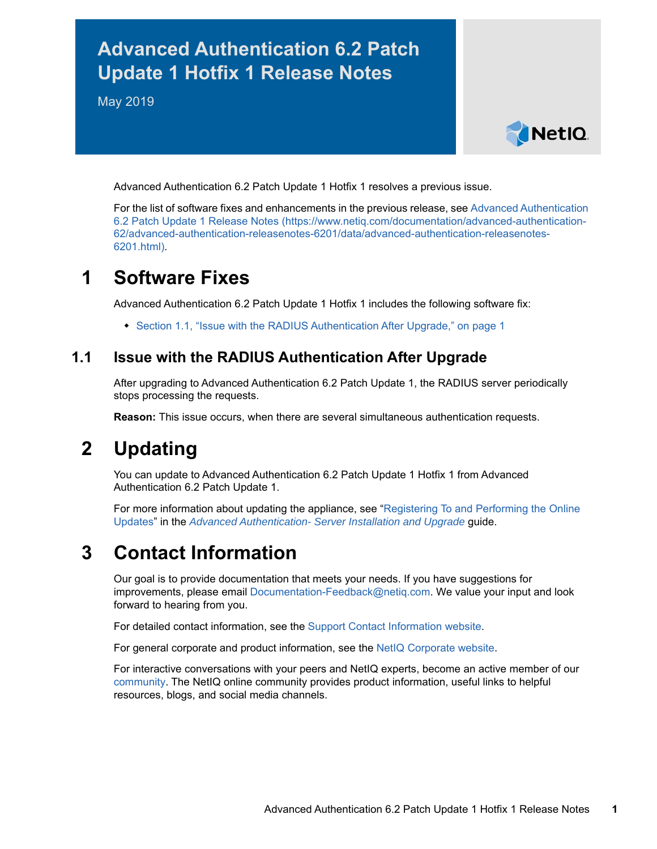# **Advanced Authentication 6.2 Patch Update 1 Hotfix 1 Release Notes**

May 2019



Advanced Authentication 6.2 Patch Update 1 Hotfix 1 resolves a previous issue.

For the list of software fixes and enhancements in the previous release, see [Advanced Authentication](https://www.netiq.com/documentation/advanced-authentication-62/advanced-authentication-releasenotes-6201/data/advanced-authentication-releasenotes-6201.html)  [6.2 Patch Update 1 Release Notes](https://www.netiq.com/documentation/advanced-authentication-62/advanced-authentication-releasenotes-6201/data/advanced-authentication-releasenotes-6201.html) (https://www.netiq.com/documentation/advanced-authentication-62/advanced-authentication-releasenotes-6201/data/advanced-authentication-releasenotes-6201.html).

### **1 Software Fixes**

Advanced Authentication 6.2 Patch Update 1 Hotfix 1 includes the following software fix:

• [Section 1.1, "Issue with the RADIUS Authentication After Upgrade," on page 1](#page-0-0)

#### <span id="page-0-0"></span>**1.1 Issue with the RADIUS Authentication After Upgrade**

After upgrading to Advanced Authentication 6.2 Patch Update 1, the RADIUS server periodically stops processing the requests.

**Reason:** This issue occurs, when there are several simultaneous authentication requests.

## **2 Updating**

You can update to Advanced Authentication 6.2 Patch Update 1 Hotfix 1 from Advanced Authentication 6.2 Patch Update 1.

For more information about updating the appliance, see "[Registering To and Performing the Online](https://www.netiq.com/documentation/advanced-authentication-62/pdfdoc/install-upgrade-guide/install-upgrade-guide.pdf#onlineupdate)  Updates" in the *[Advanced Authentication- Server Installation and Upgrade](https://www.netiq.com/documentation/advanced-authentication-62/pdfdoc/install-upgrade-guide/install-upgrade-guide.pdf#bookinfo)* guide.

## **3 Contact Information**

Our goal is to provide documentation that meets your needs. If you have suggestions for improvements, please email [Documentation-Feedback@netiq.com](mailto:Documentation-Feedback@netiq.com). We value your input and look forward to hearing from you.

For detailed contact information, see the [Support Contact Information website.](http://www.netiq.com/support/process.asp#phone)

For general corporate and product information, see the [NetIQ Corporate website.](http://www.netiq.com/)

For interactive conversations with your peers and NetIQ experts, become an active member of our [community](https://www.netiq.com/communities/). The NetIQ online community provides product information, useful links to helpful resources, blogs, and social media channels.